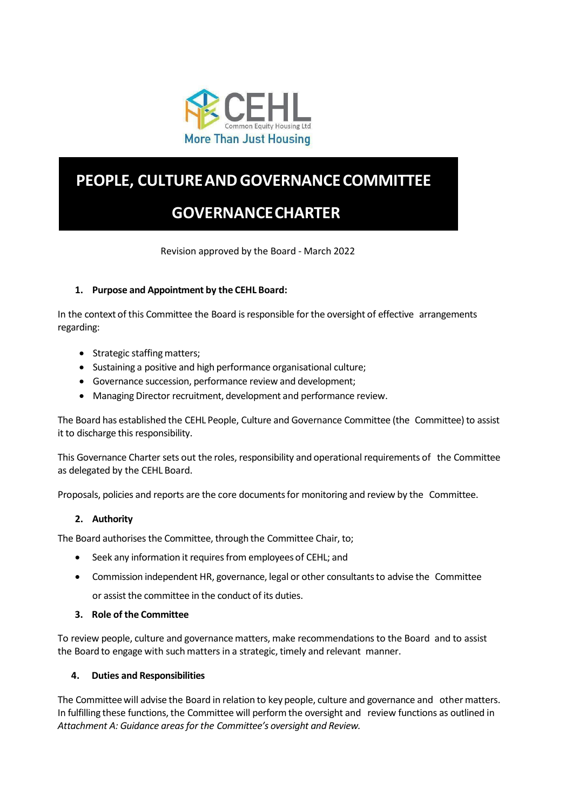

# **PEOPLE, CULTUREANDGOVERNANCECOMMITTEE**

# **GOVERNANCECHARTER**

Revision approved by the Board - March 2022

# **1. Purpose and Appointment by the CEHL Board:**

In the context of this Committee the Board is responsible for the oversight of effective arrangements regarding:

- Strategic staffing matters;
- Sustaining a positive and high performance organisational culture;
- Governance succession, performance review and development;
- Managing Director recruitment, development and performance review.

The Board has established the CEHL People, Culture and Governance Committee (the Committee) to assist it to discharge this responsibility.

This Governance Charter sets out the roles, responsibility and operational requirements of the Committee as delegated by the CEHL Board.

Proposals, policies and reports are the core documentsfor monitoring and review by the Committee.

# **2. Authority**

The Board authorises the Committee, through the Committee Chair, to;

- Seek any information it requires from employees of CEHL; and
- Commission independent HR, governance, legal or other consultants to advise the Committee or assist the committee in the conduct of its duties.
- **3. Role of the Committee**

To review people, culture and governance matters, make recommendationsto the Board and to assist the Board to engage with such mattersin a strategic, timely and relevant manner.

# **4. Duties and Responsibilities**

The Committeewill advise the Board in relation to key people, culture and governance and other matters. In fulfilling these functions, the Committee will perform the oversight and review functions as outlined in *Attachment A: Guidance areasfor the Committee's oversight and Review.*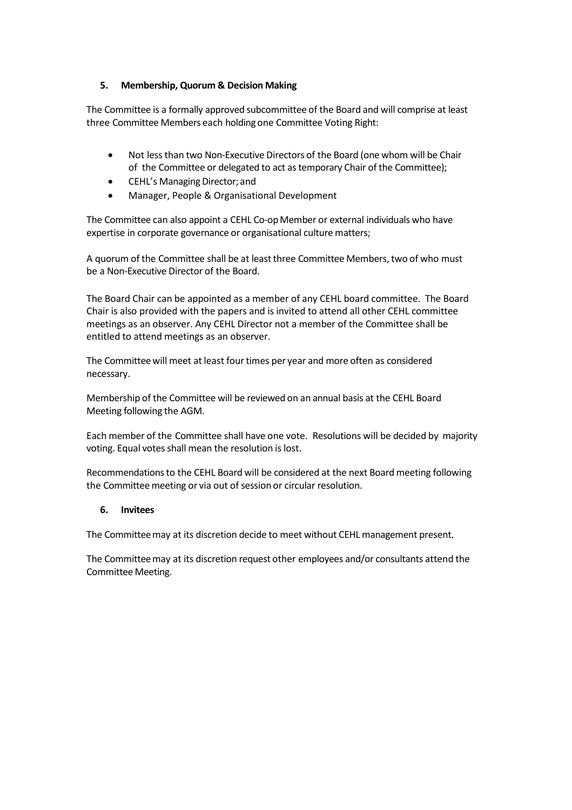### **5. Membership, Quorum & Decision Making**

The Committee is a formally approved subcommittee of the Board and will comprise at least three Committee Members each holding one Committee Voting Right:

- Not lessthan two Non-Executive Directors of the Board (one whom will be Chair of the Committee or delegated to act astemporary Chair of the Committee);
- CEHL's Managing Director; and
- Manager, People & Organisational Development

The Committee can also appoint a CEHL Co-op Member or external individuals who have expertise in corporate governance or organisational culture matters;

A quorum of the Committee shall be at leastthree Committee Members,two of who must be a Non-Executive Director of the Board.

The Board Chair can be appointed as a member of any CEHL board committee. The Board Chair is also provided with the papers and is invited to attend all other CEHL committee meetings as an observer. Any CEHL Director not a member of the Committee shall be entitled to attend meetings as an observer.

The Committee will meet at least four times per year and more often as considered necessary.

Membership of the Committee will be reviewed on an annual basis at the CEHL Board Meeting following the AGM.

Each member of the Committee shall have one vote. Resolutions will be decided by majority voting. Equal votes shall mean the resolution is lost.

Recommendationsto the CEHL Board will be considered at the next Board meeting following the Committee meeting or via out of session or circular resolution.

#### **6. Invitees**

The Committeemay at its discretion decide to meet without CEHL management present.

The Committeemay at its discretion request other employees and/or consultants attend the Committee Meeting.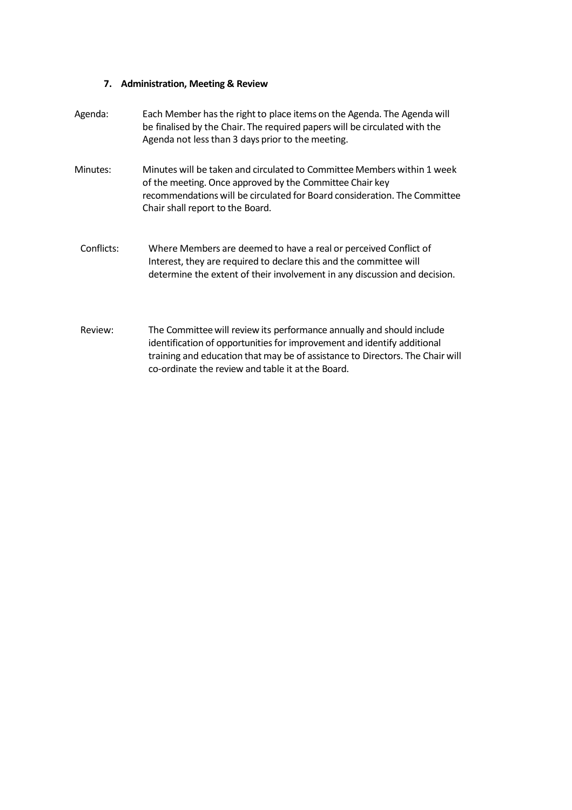# **7. Administration, Meeting & Review**

| Agenda:    | Each Member has the right to place items on the Agenda. The Agenda will<br>be finalised by the Chair. The required papers will be circulated with the<br>Agenda not less than 3 days prior to the meeting.                                                                             |
|------------|----------------------------------------------------------------------------------------------------------------------------------------------------------------------------------------------------------------------------------------------------------------------------------------|
| Minutes:   | Minutes will be taken and circulated to Committee Members within 1 week<br>of the meeting. Once approved by the Committee Chair key<br>recommendations will be circulated for Board consideration. The Committee<br>Chair shall report to the Board.                                   |
| Conflicts: | Where Members are deemed to have a real or perceived Conflict of<br>Interest, they are required to declare this and the committee will<br>determine the extent of their involvement in any discussion and decision.                                                                    |
| Review:    | The Committee will review its performance annually and should include<br>identification of opportunities for improvement and identify additional<br>training and education that may be of assistance to Directors. The Chair will<br>co-ordinate the review and table it at the Board. |